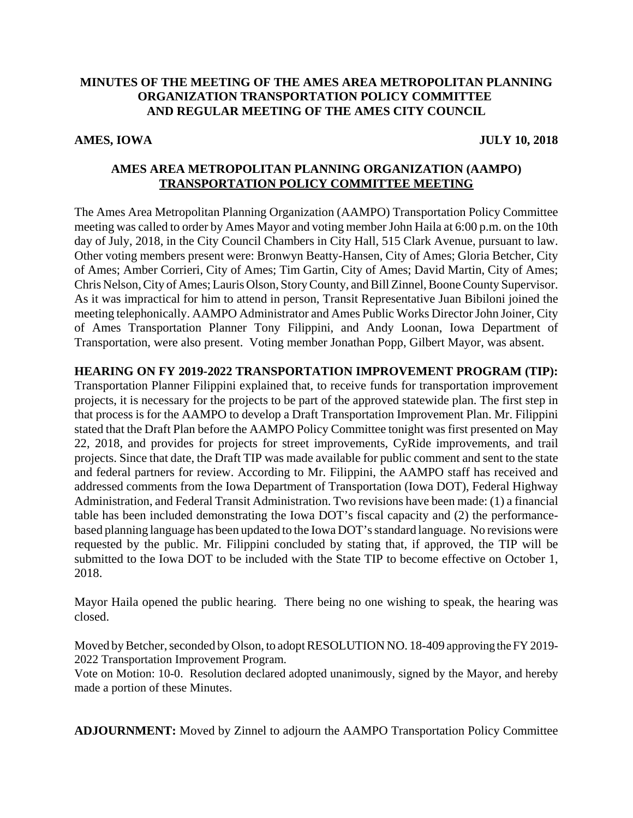## **MINUTES OF THE MEETING OF THE AMES AREA METROPOLITAN PLANNING ORGANIZATION TRANSPORTATION POLICY COMMITTEE AND REGULAR MEETING OF THE AMES CITY COUNCIL**

**AMES, IOWA JULY 10, 2018**

#### **AMES AREA METROPOLITAN PLANNING ORGANIZATION (AAMPO) TRANSPORTATION POLICY COMMITTEE MEETING**

The Ames Area Metropolitan Planning Organization (AAMPO) Transportation Policy Committee meeting was called to order by Ames Mayor and voting member John Haila at 6:00 p.m. on the 10th day of July, 2018, in the City Council Chambers in City Hall, 515 Clark Avenue, pursuant to law. Other voting members present were: Bronwyn Beatty-Hansen, City of Ames; Gloria Betcher, City of Ames; Amber Corrieri, City of Ames; Tim Gartin, City of Ames; David Martin, City of Ames; Chris Nelson, City of Ames; Lauris Olson, Story County, and Bill Zinnel, Boone County Supervisor. As it was impractical for him to attend in person, Transit Representative Juan Bibiloni joined the meeting telephonically. AAMPO Administrator and Ames Public Works Director John Joiner, City of Ames Transportation Planner Tony Filippini, and Andy Loonan, Iowa Department of Transportation, were also present. Voting member Jonathan Popp, Gilbert Mayor, was absent.

#### **HEARING ON FY 2019-2022 TRANSPORTATION IMPROVEMENT PROGRAM (TIP):**

Transportation Planner Filippini explained that, to receive funds for transportation improvement projects, it is necessary for the projects to be part of the approved statewide plan. The first step in that process is for the AAMPO to develop a Draft Transportation Improvement Plan. Mr. Filippini stated that the Draft Plan before the AAMPO Policy Committee tonight was first presented on May 22, 2018, and provides for projects for street improvements, CyRide improvements, and trail projects. Since that date, the Draft TIP was made available for public comment and sent to the state and federal partners for review. According to Mr. Filippini, the AAMPO staff has received and addressed comments from the Iowa Department of Transportation (Iowa DOT), Federal Highway Administration, and Federal Transit Administration. Two revisions have been made: (1) a financial table has been included demonstrating the Iowa DOT's fiscal capacity and (2) the performancebased planning language has been updated to the Iowa DOT's standard language. No revisions were requested by the public. Mr. Filippini concluded by stating that, if approved, the TIP will be submitted to the Iowa DOT to be included with the State TIP to become effective on October 1, 2018.

Mayor Haila opened the public hearing. There being no one wishing to speak, the hearing was closed.

Moved by Betcher, seconded by Olson, to adopt RESOLUTION NO. 18-409 approving the FY 2019- 2022 Transportation Improvement Program.

Vote on Motion: 10-0. Resolution declared adopted unanimously, signed by the Mayor, and hereby made a portion of these Minutes.

**ADJOURNMENT:** Moved by Zinnel to adjourn the AAMPO Transportation Policy Committee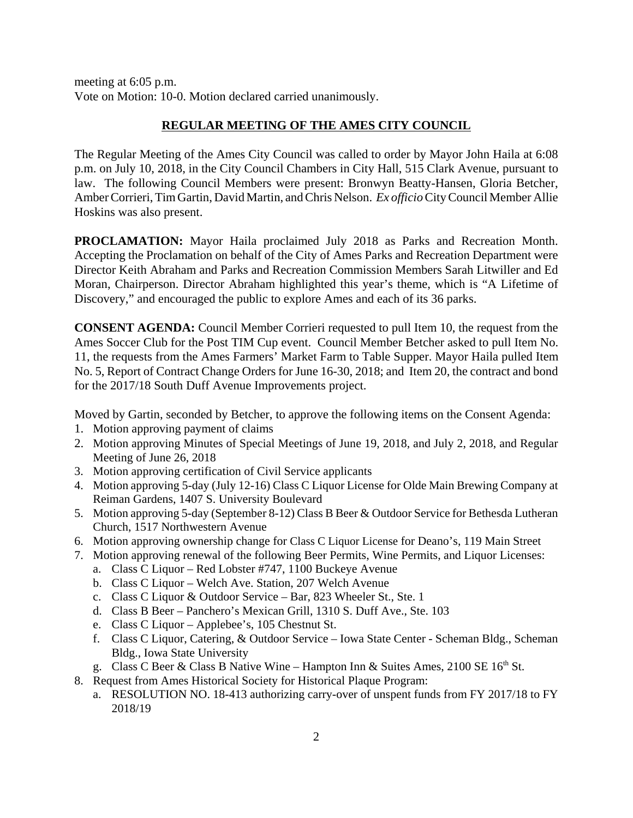meeting at 6:05 p.m. Vote on Motion: 10-0. Motion declared carried unanimously.

### **REGULAR MEETING OF THE AMES CITY COUNCIL**

The Regular Meeting of the Ames City Council was called to order by Mayor John Haila at 6:08 p.m. on July 10, 2018, in the City Council Chambers in City Hall, 515 Clark Avenue, pursuant to law. The following Council Members were present: Bronwyn Beatty-Hansen, Gloria Betcher, Amber Corrieri, Tim Gartin, David Martin, and Chris Nelson. *Ex officio* City Council Member Allie Hoskins was also present.

**PROCLAMATION:** Mayor Haila proclaimed July 2018 as Parks and Recreation Month. Accepting the Proclamation on behalf of the City of Ames Parks and Recreation Department were Director Keith Abraham and Parks and Recreation Commission Members Sarah Litwiller and Ed Moran, Chairperson. Director Abraham highlighted this year's theme, which is "A Lifetime of Discovery," and encouraged the public to explore Ames and each of its 36 parks.

**CONSENT AGENDA:** Council Member Corrieri requested to pull Item 10, the request from the Ames Soccer Club for the Post TIM Cup event. Council Member Betcher asked to pull Item No. 11, the requests from the Ames Farmers' Market Farm to Table Supper. Mayor Haila pulled Item No. 5, Report of Contract Change Orders for June 16-30, 2018; and Item 20, the contract and bond for the 2017/18 South Duff Avenue Improvements project.

Moved by Gartin, seconded by Betcher, to approve the following items on the Consent Agenda:

- 1. Motion approving payment of claims
- 2. Motion approving Minutes of Special Meetings of June 19, 2018, and July 2, 2018, and Regular Meeting of June 26, 2018
- 3. Motion approving certification of Civil Service applicants
- 4. Motion approving 5-day (July 12-16) Class C Liquor License for Olde Main Brewing Company at Reiman Gardens, 1407 S. University Boulevard
- 5. Motion approving 5-day (September 8-12) Class B Beer & Outdoor Service for Bethesda Lutheran Church, 1517 Northwestern Avenue
- 6. Motion approving ownership change for Class C Liquor License for Deano's, 119 Main Street
- 7. Motion approving renewal of the following Beer Permits, Wine Permits, and Liquor Licenses:
	- a. Class C Liquor Red Lobster #747, 1100 Buckeye Avenue
	- b. Class C Liquor Welch Ave. Station, 207 Welch Avenue
	- c. Class C Liquor & Outdoor Service Bar, 823 Wheeler St., Ste. 1
	- d. Class B Beer Panchero's Mexican Grill, 1310 S. Duff Ave., Ste. 103
	- e. Class C Liquor Applebee's, 105 Chestnut St.
	- f. Class C Liquor, Catering, & Outdoor Service Iowa State Center Scheman Bldg., Scheman Bldg., Iowa State University
	- g. Class C Beer & Class B Native Wine Hampton Inn & Suites Ames, 2100 SE  $16<sup>th</sup>$  St.
- 8. Request from Ames Historical Society for Historical Plaque Program:
	- a. RESOLUTION NO. 18-413 authorizing carry-over of unspent funds from FY 2017/18 to FY 2018/19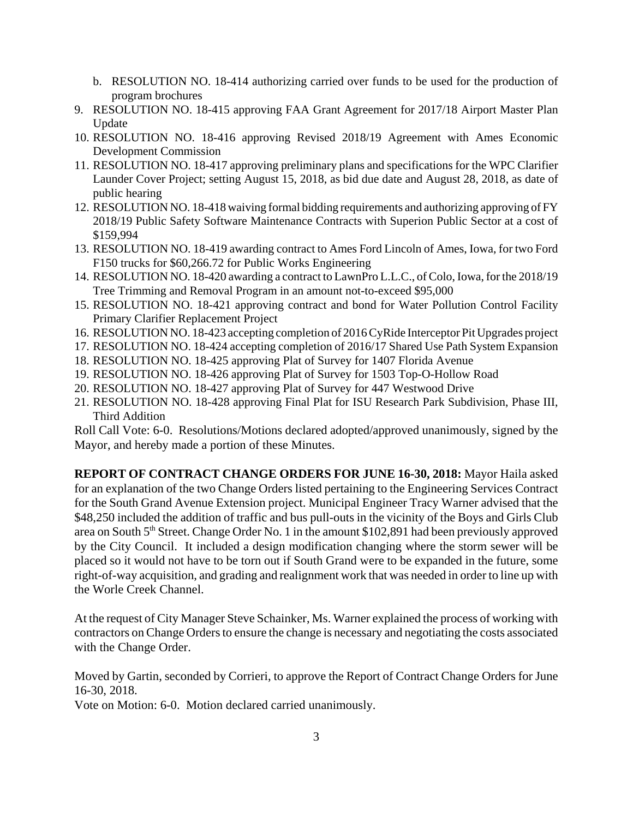- b. RESOLUTION NO. 18-414 authorizing carried over funds to be used for the production of program brochures
- 9. RESOLUTION NO. 18-415 approving FAA Grant Agreement for 2017/18 Airport Master Plan Update
- 10. RESOLUTION NO. 18-416 approving Revised 2018/19 Agreement with Ames Economic Development Commission
- 11. RESOLUTION NO. 18-417 approving preliminary plans and specifications for the WPC Clarifier Launder Cover Project; setting August 15, 2018, as bid due date and August 28, 2018, as date of public hearing
- 12. RESOLUTION NO. 18-418 waiving formal bidding requirements and authorizing approving of FY 2018/19 Public Safety Software Maintenance Contracts with Superion Public Sector at a cost of \$159,994
- 13. RESOLUTION NO. 18-419 awarding contract to Ames Ford Lincoln of Ames, Iowa, for two Ford F150 trucks for \$60,266.72 for Public Works Engineering
- 14. RESOLUTION NO. 18-420 awarding a contract to LawnPro L.L.C., of Colo, Iowa, for the 2018/19 Tree Trimming and Removal Program in an amount not-to-exceed \$95,000
- 15. RESOLUTION NO. 18-421 approving contract and bond for Water Pollution Control Facility Primary Clarifier Replacement Project
- 16. RESOLUTION NO. 18-423 accepting completion of 2016 CyRide Interceptor Pit Upgrades project
- 17. RESOLUTION NO. 18-424 accepting completion of 2016/17 Shared Use Path System Expansion
- 18. RESOLUTION NO. 18-425 approving Plat of Survey for 1407 Florida Avenue
- 19. RESOLUTION NO. 18-426 approving Plat of Survey for 1503 Top-O-Hollow Road
- 20. RESOLUTION NO. 18-427 approving Plat of Survey for 447 Westwood Drive
- 21. RESOLUTION NO. 18-428 approving Final Plat for ISU Research Park Subdivision, Phase III, Third Addition

Roll Call Vote: 6-0. Resolutions/Motions declared adopted/approved unanimously, signed by the Mayor, and hereby made a portion of these Minutes.

**REPORT OF CONTRACT CHANGE ORDERS FOR JUNE 16-30, 2018:** Mayor Haila asked for an explanation of the two Change Orders listed pertaining to the Engineering Services Contract for the South Grand Avenue Extension project. Municipal Engineer Tracy Warner advised that the \$48,250 included the addition of traffic and bus pull-outs in the vicinity of the Boys and Girls Club area on South 5<sup>th</sup> Street. Change Order No. 1 in the amount \$102,891 had been previously approved by the City Council. It included a design modification changing where the storm sewer will be placed so it would not have to be torn out if South Grand were to be expanded in the future, some right-of-way acquisition, and grading and realignment work that was needed in order to line up with the Worle Creek Channel.

At the request of City Manager Steve Schainker, Ms. Warner explained the process of working with contractors on Change Orders to ensure the change is necessary and negotiating the costs associated with the Change Order.

Moved by Gartin, seconded by Corrieri, to approve the Report of Contract Change Orders for June 16-30, 2018.

Vote on Motion: 6-0. Motion declared carried unanimously.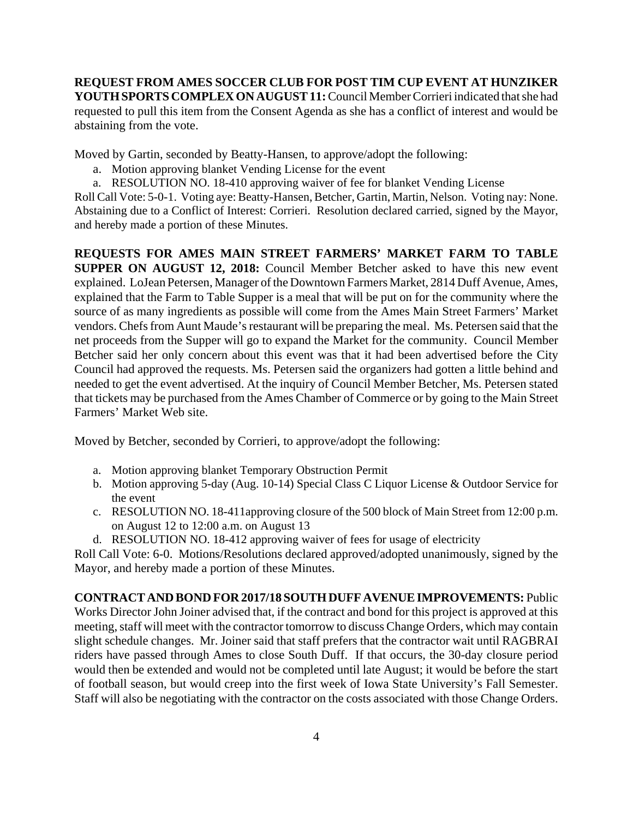**REQUEST FROM AMES SOCCER CLUB FOR POST TIM CUP EVENT AT HUNZIKER YOUTH SPORTS COMPLEX ON AUGUST 11:** Council Member Corrieri indicated that she had requested to pull this item from the Consent Agenda as she has a conflict of interest and would be abstaining from the vote.

Moved by Gartin, seconded by Beatty-Hansen, to approve/adopt the following:

- a. Motion approving blanket Vending License for the event
- a. RESOLUTION NO. 18-410 approving waiver of fee for blanket Vending License

Roll Call Vote: 5-0-1. Voting aye: Beatty-Hansen, Betcher, Gartin, Martin, Nelson. Voting nay: None. Abstaining due to a Conflict of Interest: Corrieri. Resolution declared carried, signed by the Mayor, and hereby made a portion of these Minutes.

**REQUESTS FOR AMES MAIN STREET FARMERS' MARKET FARM TO TABLE SUPPER ON AUGUST 12, 2018:** Council Member Betcher asked to have this new event explained. LoJean Petersen, Manager of the Downtown Farmers Market, 2814 Duff Avenue, Ames, explained that the Farm to Table Supper is a meal that will be put on for the community where the source of as many ingredients as possible will come from the Ames Main Street Farmers' Market vendors. Chefs from Aunt Maude's restaurant will be preparing the meal. Ms. Petersen said that the net proceeds from the Supper will go to expand the Market for the community. Council Member Betcher said her only concern about this event was that it had been advertised before the City Council had approved the requests. Ms. Petersen said the organizers had gotten a little behind and needed to get the event advertised. At the inquiry of Council Member Betcher, Ms. Petersen stated that tickets may be purchased from the Ames Chamber of Commerce or by going to the Main Street Farmers' Market Web site.

Moved by Betcher, seconded by Corrieri, to approve/adopt the following:

- a. Motion approving blanket Temporary Obstruction Permit
- b. Motion approving 5-day (Aug. 10-14) Special Class C Liquor License & Outdoor Service for the event
- c. RESOLUTION NO. 18-411approving closure of the 500 block of Main Street from 12:00 p.m. on August 12 to 12:00 a.m. on August 13
- d. RESOLUTION NO. 18-412 approving waiver of fees for usage of electricity

Roll Call Vote: 6-0. Motions/Resolutions declared approved/adopted unanimously, signed by the Mayor, and hereby made a portion of these Minutes.

**CONTRACT AND BOND FOR 2017/18 SOUTH DUFF AVENUE IMPROVEMENTS:** Public Works Director John Joiner advised that, if the contract and bond for this project is approved at this meeting, staff will meet with the contractor tomorrow to discuss Change Orders, which may contain slight schedule changes. Mr. Joiner said that staff prefers that the contractor wait until RAGBRAI riders have passed through Ames to close South Duff. If that occurs, the 30-day closure period would then be extended and would not be completed until late August; it would be before the start of football season, but would creep into the first week of Iowa State University's Fall Semester. Staff will also be negotiating with the contractor on the costs associated with those Change Orders.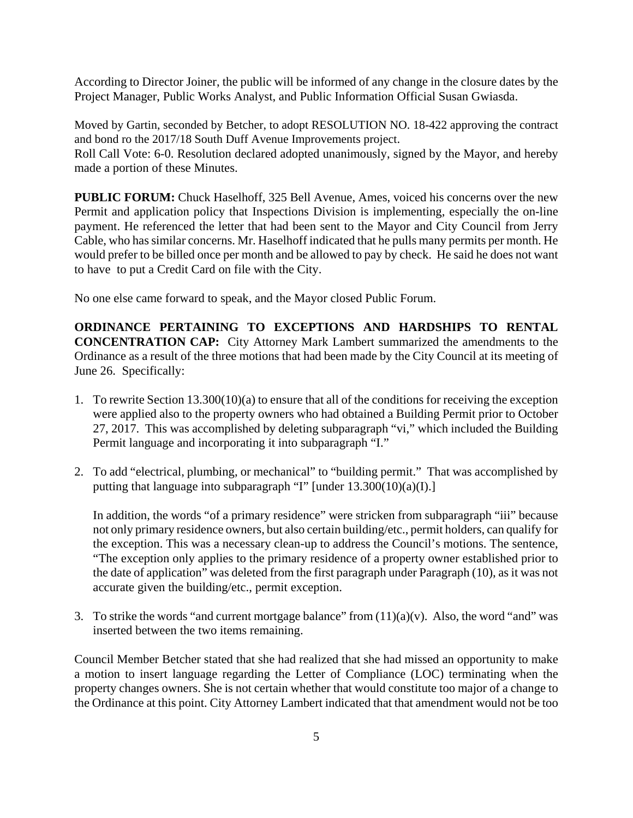According to Director Joiner, the public will be informed of any change in the closure dates by the Project Manager, Public Works Analyst, and Public Information Official Susan Gwiasda.

Moved by Gartin, seconded by Betcher, to adopt RESOLUTION NO. 18-422 approving the contract and bond ro the 2017/18 South Duff Avenue Improvements project.

Roll Call Vote: 6-0. Resolution declared adopted unanimously, signed by the Mayor, and hereby made a portion of these Minutes.

**PUBLIC FORUM:** Chuck Haselhoff, 325 Bell Avenue, Ames, voiced his concerns over the new Permit and application policy that Inspections Division is implementing, especially the on-line payment. He referenced the letter that had been sent to the Mayor and City Council from Jerry Cable, who has similar concerns. Mr. Haselhoff indicated that he pulls many permits per month. He would prefer to be billed once per month and be allowed to pay by check. He said he does not want to have to put a Credit Card on file with the City.

No one else came forward to speak, and the Mayor closed Public Forum.

**ORDINANCE PERTAINING TO EXCEPTIONS AND HARDSHIPS TO RENTAL CONCENTRATION CAP:** City Attorney Mark Lambert summarized the amendments to the Ordinance as a result of the three motions that had been made by the City Council at its meeting of June 26. Specifically:

- 1. To rewrite Section 13.300(10)(a) to ensure that all of the conditions for receiving the exception were applied also to the property owners who had obtained a Building Permit prior to October 27, 2017. This was accomplished by deleting subparagraph "vi," which included the Building Permit language and incorporating it into subparagraph "I."
- 2. To add "electrical, plumbing, or mechanical" to "building permit." That was accomplished by putting that language into subparagraph "I" [under  $13.300(10)(a)(I)$ .]

In addition, the words "of a primary residence" were stricken from subparagraph "iii" because not only primary residence owners, but also certain building/etc., permit holders, can qualify for the exception. This was a necessary clean-up to address the Council's motions. The sentence, "The exception only applies to the primary residence of a property owner established prior to the date of application" was deleted from the first paragraph under Paragraph (10), as it was not accurate given the building/etc., permit exception.

3. To strike the words "and current mortgage balance" from  $(11)(a)(v)$ . Also, the word "and" was inserted between the two items remaining.

Council Member Betcher stated that she had realized that she had missed an opportunity to make a motion to insert language regarding the Letter of Compliance (LOC) terminating when the property changes owners. She is not certain whether that would constitute too major of a change to the Ordinance at this point. City Attorney Lambert indicated that that amendment would not be too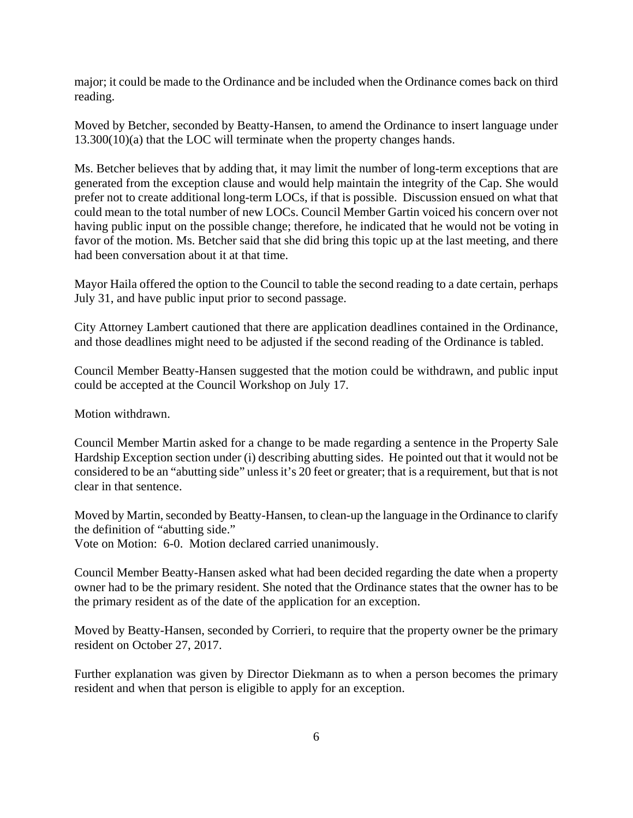major; it could be made to the Ordinance and be included when the Ordinance comes back on third reading.

Moved by Betcher, seconded by Beatty-Hansen, to amend the Ordinance to insert language under 13.300(10)(a) that the LOC will terminate when the property changes hands.

Ms. Betcher believes that by adding that, it may limit the number of long-term exceptions that are generated from the exception clause and would help maintain the integrity of the Cap. She would prefer not to create additional long-term LOCs, if that is possible. Discussion ensued on what that could mean to the total number of new LOCs. Council Member Gartin voiced his concern over not having public input on the possible change; therefore, he indicated that he would not be voting in favor of the motion. Ms. Betcher said that she did bring this topic up at the last meeting, and there had been conversation about it at that time.

Mayor Haila offered the option to the Council to table the second reading to a date certain, perhaps July 31, and have public input prior to second passage.

City Attorney Lambert cautioned that there are application deadlines contained in the Ordinance, and those deadlines might need to be adjusted if the second reading of the Ordinance is tabled.

Council Member Beatty-Hansen suggested that the motion could be withdrawn, and public input could be accepted at the Council Workshop on July 17.

Motion withdrawn.

Council Member Martin asked for a change to be made regarding a sentence in the Property Sale Hardship Exception section under (i) describing abutting sides. He pointed out that it would not be considered to be an "abutting side" unless it's 20 feet or greater; that is a requirement, but that is not clear in that sentence.

Moved by Martin, seconded by Beatty-Hansen, to clean-up the language in the Ordinance to clarify the definition of "abutting side."

Vote on Motion: 6-0. Motion declared carried unanimously.

Council Member Beatty-Hansen asked what had been decided regarding the date when a property owner had to be the primary resident. She noted that the Ordinance states that the owner has to be the primary resident as of the date of the application for an exception.

Moved by Beatty-Hansen, seconded by Corrieri, to require that the property owner be the primary resident on October 27, 2017.

Further explanation was given by Director Diekmann as to when a person becomes the primary resident and when that person is eligible to apply for an exception.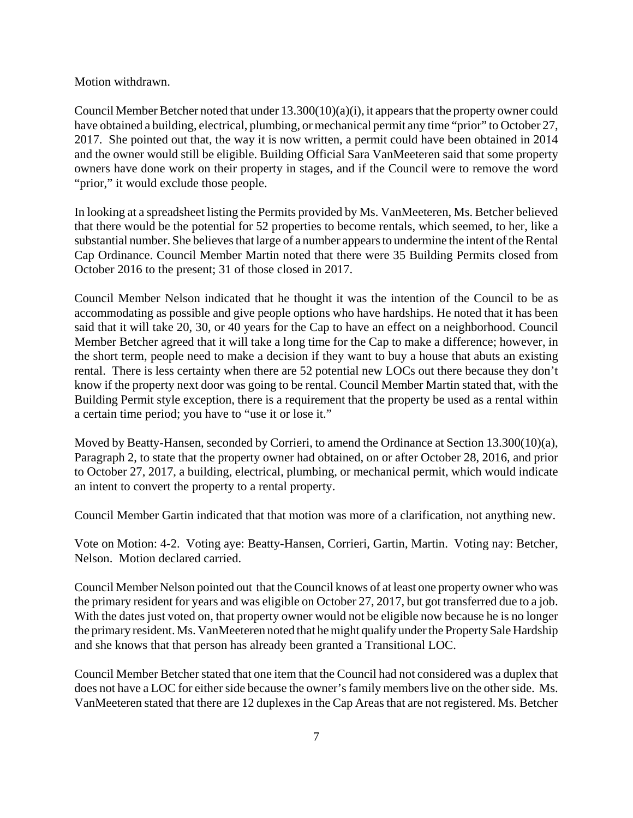#### Motion withdrawn.

Council Member Betcher noted that under 13.300(10)(a)(i), it appears that the property owner could have obtained a building, electrical, plumbing, or mechanical permit any time "prior" to October 27, 2017. She pointed out that, the way it is now written, a permit could have been obtained in 2014 and the owner would still be eligible. Building Official Sara VanMeeteren said that some property owners have done work on their property in stages, and if the Council were to remove the word "prior," it would exclude those people.

In looking at a spreadsheet listing the Permits provided by Ms. VanMeeteren, Ms. Betcher believed that there would be the potential for 52 properties to become rentals, which seemed, to her, like a substantial number. She believes that large of a number appears to undermine the intent of the Rental Cap Ordinance. Council Member Martin noted that there were 35 Building Permits closed from October 2016 to the present; 31 of those closed in 2017.

Council Member Nelson indicated that he thought it was the intention of the Council to be as accommodating as possible and give people options who have hardships. He noted that it has been said that it will take 20, 30, or 40 years for the Cap to have an effect on a neighborhood. Council Member Betcher agreed that it will take a long time for the Cap to make a difference; however, in the short term, people need to make a decision if they want to buy a house that abuts an existing rental. There is less certainty when there are 52 potential new LOCs out there because they don't know if the property next door was going to be rental. Council Member Martin stated that, with the Building Permit style exception, there is a requirement that the property be used as a rental within a certain time period; you have to "use it or lose it."

Moved by Beatty-Hansen, seconded by Corrieri, to amend the Ordinance at Section 13.300(10)(a), Paragraph 2, to state that the property owner had obtained, on or after October 28, 2016, and prior to October 27, 2017, a building, electrical, plumbing, or mechanical permit, which would indicate an intent to convert the property to a rental property.

Council Member Gartin indicated that that motion was more of a clarification, not anything new.

Vote on Motion: 4-2. Voting aye: Beatty-Hansen, Corrieri, Gartin, Martin. Voting nay: Betcher, Nelson. Motion declared carried.

Council Member Nelson pointed out that the Council knows of at least one property owner who was the primary resident for years and was eligible on October 27, 2017, but got transferred due to a job. With the dates just voted on, that property owner would not be eligible now because he is no longer the primary resident. Ms. VanMeeteren noted that he might qualify under the Property Sale Hardship and she knows that that person has already been granted a Transitional LOC.

Council Member Betcher stated that one item that the Council had not considered was a duplex that does not have a LOC for either side because the owner's family members live on the other side. Ms. VanMeeteren stated that there are 12 duplexes in the Cap Areas that are not registered. Ms. Betcher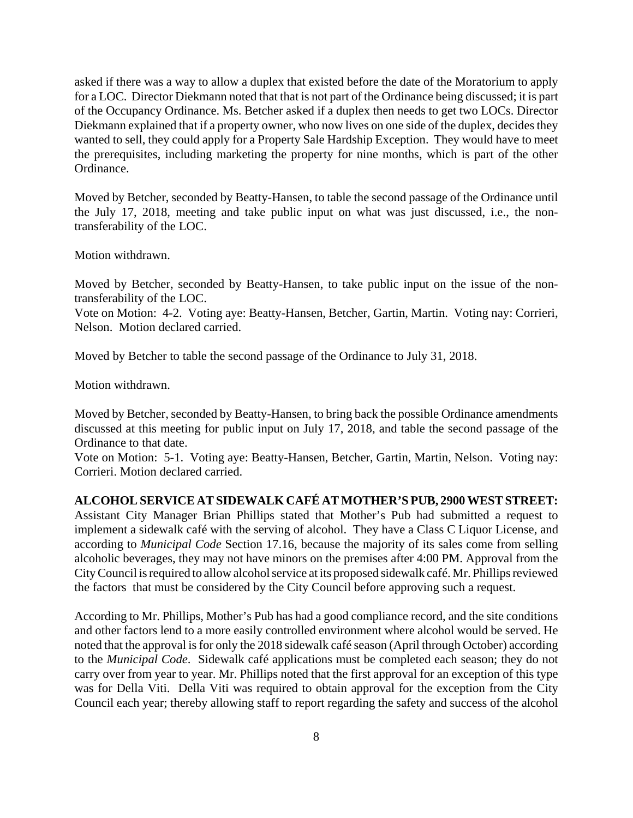asked if there was a way to allow a duplex that existed before the date of the Moratorium to apply for a LOC. Director Diekmann noted that that is not part of the Ordinance being discussed; it is part of the Occupancy Ordinance. Ms. Betcher asked if a duplex then needs to get two LOCs. Director Diekmann explained that if a property owner, who now lives on one side of the duplex, decides they wanted to sell, they could apply for a Property Sale Hardship Exception. They would have to meet the prerequisites, including marketing the property for nine months, which is part of the other Ordinance.

Moved by Betcher, seconded by Beatty-Hansen, to table the second passage of the Ordinance until the July 17, 2018, meeting and take public input on what was just discussed, i.e., the nontransferability of the LOC.

Motion withdrawn.

Moved by Betcher, seconded by Beatty-Hansen, to take public input on the issue of the nontransferability of the LOC.

Vote on Motion: 4-2. Voting aye: Beatty-Hansen, Betcher, Gartin, Martin. Voting nay: Corrieri, Nelson. Motion declared carried.

Moved by Betcher to table the second passage of the Ordinance to July 31, 2018.

Motion withdrawn.

Moved by Betcher, seconded by Beatty-Hansen, to bring back the possible Ordinance amendments discussed at this meeting for public input on July 17, 2018, and table the second passage of the Ordinance to that date.

Vote on Motion: 5-1. Voting aye: Beatty-Hansen, Betcher, Gartin, Martin, Nelson. Voting nay: Corrieri. Motion declared carried.

#### **ALCOHOL SERVICE AT SIDEWALK CAFÉ AT MOTHER'S PUB, 2900 WEST STREET:**

Assistant City Manager Brian Phillips stated that Mother's Pub had submitted a request to implement a sidewalk café with the serving of alcohol. They have a Class C Liquor License, and according to *Municipal Code* Section 17.16, because the majority of its sales come from selling alcoholic beverages, they may not have minors on the premises after 4:00 PM. Approval from the City Council is required to allow alcohol service at its proposed sidewalk café. Mr. Phillips reviewed the factors that must be considered by the City Council before approving such a request.

According to Mr. Phillips, Mother's Pub has had a good compliance record, and the site conditions and other factors lend to a more easily controlled environment where alcohol would be served. He noted that the approval is for only the 2018 sidewalk café season (April through October) according to the *Municipal Code*. Sidewalk café applications must be completed each season; they do not carry over from year to year. Mr. Phillips noted that the first approval for an exception of this type was for Della Viti. Della Viti was required to obtain approval for the exception from the City Council each year; thereby allowing staff to report regarding the safety and success of the alcohol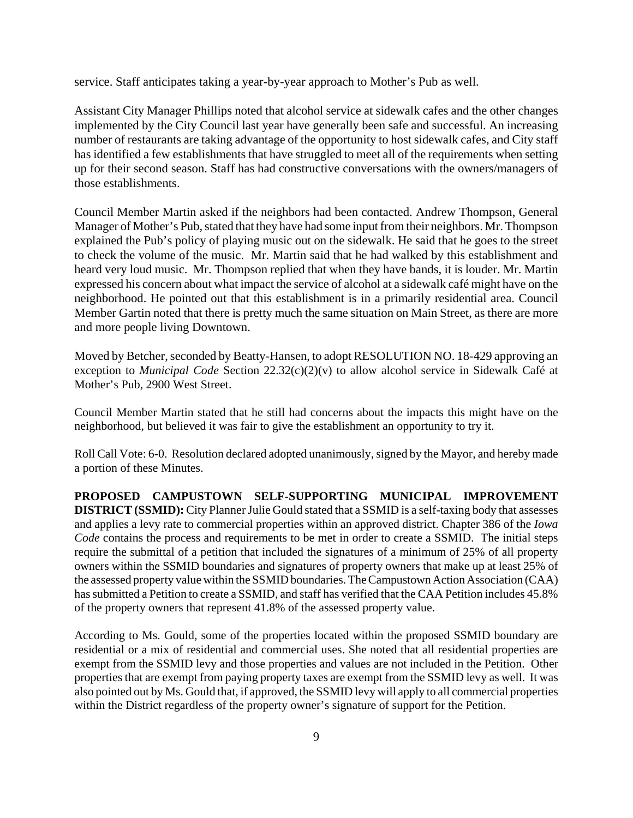service. Staff anticipates taking a year-by-year approach to Mother's Pub as well.

Assistant City Manager Phillips noted that alcohol service at sidewalk cafes and the other changes implemented by the City Council last year have generally been safe and successful. An increasing number of restaurants are taking advantage of the opportunity to host sidewalk cafes, and City staff has identified a few establishments that have struggled to meet all of the requirements when setting up for their second season. Staff has had constructive conversations with the owners/managers of those establishments.

Council Member Martin asked if the neighbors had been contacted. Andrew Thompson, General Manager of Mother's Pub, stated that they have had some input from their neighbors. Mr. Thompson explained the Pub's policy of playing music out on the sidewalk. He said that he goes to the street to check the volume of the music. Mr. Martin said that he had walked by this establishment and heard very loud music. Mr. Thompson replied that when they have bands, it is louder. Mr. Martin expressed his concern about what impact the service of alcohol at a sidewalk café might have on the neighborhood. He pointed out that this establishment is in a primarily residential area. Council Member Gartin noted that there is pretty much the same situation on Main Street, as there are more and more people living Downtown.

Moved by Betcher, seconded by Beatty-Hansen, to adopt RESOLUTION NO. 18-429 approving an exception to *Municipal Code* Section 22.32(c)(2)(v) to allow alcohol service in Sidewalk Café at Mother's Pub, 2900 West Street.

Council Member Martin stated that he still had concerns about the impacts this might have on the neighborhood, but believed it was fair to give the establishment an opportunity to try it.

Roll Call Vote: 6-0. Resolution declared adopted unanimously, signed by the Mayor, and hereby made a portion of these Minutes.

**PROPOSED CAMPUSTOWN SELF-SUPPORTING MUNICIPAL IMPROVEMENT DISTRICT (SSMID):** City Planner Julie Gould stated that a SSMID is a self-taxing body that assesses and applies a levy rate to commercial properties within an approved district. Chapter 386 of the *Iowa Code* contains the process and requirements to be met in order to create a SSMID. The initial steps require the submittal of a petition that included the signatures of a minimum of 25% of all property owners within the SSMID boundaries and signatures of property owners that make up at least 25% of the assessed property value within the SSMID boundaries. The Campustown Action Association (CAA) has submitted a Petition to create a SSMID, and staff has verified that the CAA Petition includes 45.8% of the property owners that represent 41.8% of the assessed property value.

According to Ms. Gould, some of the properties located within the proposed SSMID boundary are residential or a mix of residential and commercial uses. She noted that all residential properties are exempt from the SSMID levy and those properties and values are not included in the Petition. Other properties that are exempt from paying property taxes are exempt from the SSMID levy as well. It was also pointed out by Ms. Gould that, if approved, the SSMID levy will apply to all commercial properties within the District regardless of the property owner's signature of support for the Petition.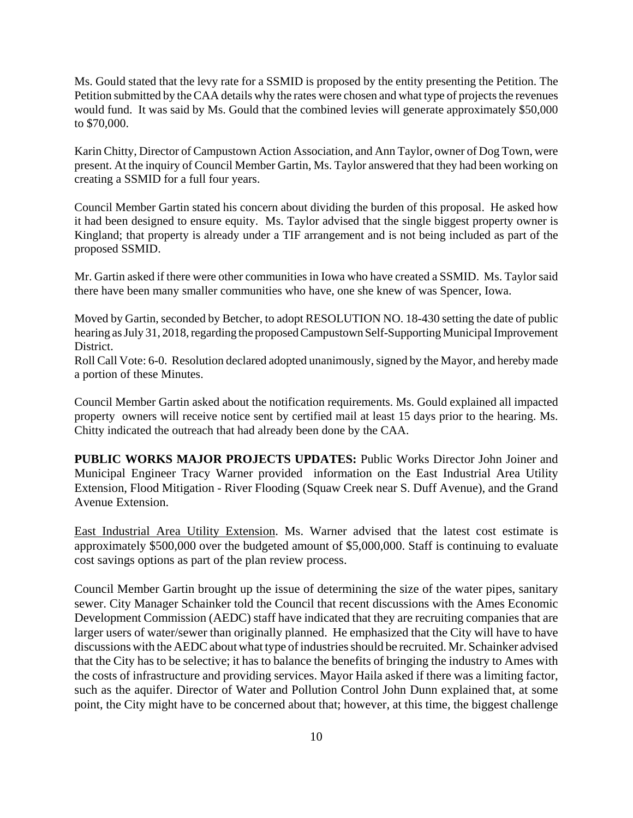Ms. Gould stated that the levy rate for a SSMID is proposed by the entity presenting the Petition. The Petition submitted by the CAA details why the rates were chosen and what type of projects the revenues would fund. It was said by Ms. Gould that the combined levies will generate approximately \$50,000 to \$70,000.

Karin Chitty, Director of Campustown Action Association, and Ann Taylor, owner of Dog Town, were present. At the inquiry of Council Member Gartin, Ms. Taylor answered that they had been working on creating a SSMID for a full four years.

Council Member Gartin stated his concern about dividing the burden of this proposal. He asked how it had been designed to ensure equity. Ms. Taylor advised that the single biggest property owner is Kingland; that property is already under a TIF arrangement and is not being included as part of the proposed SSMID.

Mr. Gartin asked if there were other communities in Iowa who have created a SSMID. Ms. Taylor said there have been many smaller communities who have, one she knew of was Spencer, Iowa.

Moved by Gartin, seconded by Betcher, to adopt RESOLUTION NO. 18-430 setting the date of public hearing as July 31, 2018, regarding the proposed Campustown Self-Supporting Municipal Improvement District.

Roll Call Vote: 6-0. Resolution declared adopted unanimously, signed by the Mayor, and hereby made a portion of these Minutes.

Council Member Gartin asked about the notification requirements. Ms. Gould explained all impacted property owners will receive notice sent by certified mail at least 15 days prior to the hearing. Ms. Chitty indicated the outreach that had already been done by the CAA.

**PUBLIC WORKS MAJOR PROJECTS UPDATES:** Public Works Director John Joiner and Municipal Engineer Tracy Warner provided information on the East Industrial Area Utility Extension, Flood Mitigation - River Flooding (Squaw Creek near S. Duff Avenue), and the Grand Avenue Extension.

East Industrial Area Utility Extension. Ms. Warner advised that the latest cost estimate is approximately \$500,000 over the budgeted amount of \$5,000,000. Staff is continuing to evaluate cost savings options as part of the plan review process.

Council Member Gartin brought up the issue of determining the size of the water pipes, sanitary sewer. City Manager Schainker told the Council that recent discussions with the Ames Economic Development Commission (AEDC) staff have indicated that they are recruiting companies that are larger users of water/sewer than originally planned. He emphasized that the City will have to have discussions with the AEDC about what type of industries should be recruited. Mr. Schainker advised that the City has to be selective; it has to balance the benefits of bringing the industry to Ames with the costs of infrastructure and providing services. Mayor Haila asked if there was a limiting factor, such as the aquifer. Director of Water and Pollution Control John Dunn explained that, at some point, the City might have to be concerned about that; however, at this time, the biggest challenge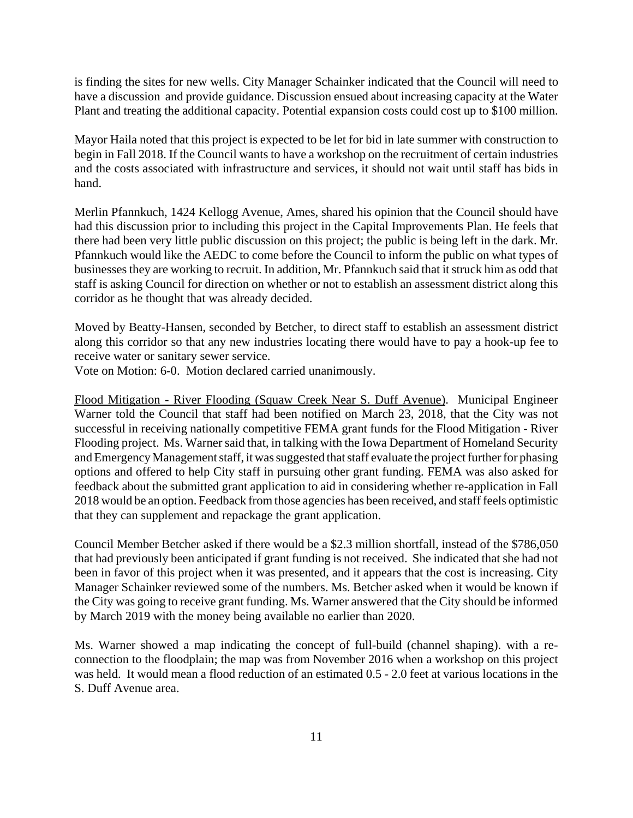is finding the sites for new wells. City Manager Schainker indicated that the Council will need to have a discussion and provide guidance. Discussion ensued about increasing capacity at the Water Plant and treating the additional capacity. Potential expansion costs could cost up to \$100 million.

Mayor Haila noted that this project is expected to be let for bid in late summer with construction to begin in Fall 2018. If the Council wants to have a workshop on the recruitment of certain industries and the costs associated with infrastructure and services, it should not wait until staff has bids in hand.

Merlin Pfannkuch, 1424 Kellogg Avenue, Ames, shared his opinion that the Council should have had this discussion prior to including this project in the Capital Improvements Plan. He feels that there had been very little public discussion on this project; the public is being left in the dark. Mr. Pfannkuch would like the AEDC to come before the Council to inform the public on what types of businesses they are working to recruit. In addition, Mr. Pfannkuch said that it struck him as odd that staff is asking Council for direction on whether or not to establish an assessment district along this corridor as he thought that was already decided.

Moved by Beatty-Hansen, seconded by Betcher, to direct staff to establish an assessment district along this corridor so that any new industries locating there would have to pay a hook-up fee to receive water or sanitary sewer service.

Vote on Motion: 6-0. Motion declared carried unanimously.

Flood Mitigation - River Flooding (Squaw Creek Near S. Duff Avenue). Municipal Engineer Warner told the Council that staff had been notified on March 23, 2018, that the City was not successful in receiving nationally competitive FEMA grant funds for the Flood Mitigation - River Flooding project. Ms. Warner said that, in talking with the Iowa Department of Homeland Security and Emergency Management staff, it was suggested that staff evaluate the project further for phasing options and offered to help City staff in pursuing other grant funding. FEMA was also asked for feedback about the submitted grant application to aid in considering whether re-application in Fall 2018 would be an option. Feedback from those agencies has been received, and staff feels optimistic that they can supplement and repackage the grant application.

Council Member Betcher asked if there would be a \$2.3 million shortfall, instead of the \$786,050 that had previously been anticipated if grant funding is not received. She indicated that she had not been in favor of this project when it was presented, and it appears that the cost is increasing. City Manager Schainker reviewed some of the numbers. Ms. Betcher asked when it would be known if the City was going to receive grant funding. Ms. Warner answered that the City should be informed by March 2019 with the money being available no earlier than 2020.

Ms. Warner showed a map indicating the concept of full-build (channel shaping). with a reconnection to the floodplain; the map was from November 2016 when a workshop on this project was held. It would mean a flood reduction of an estimated 0.5 - 2.0 feet at various locations in the S. Duff Avenue area.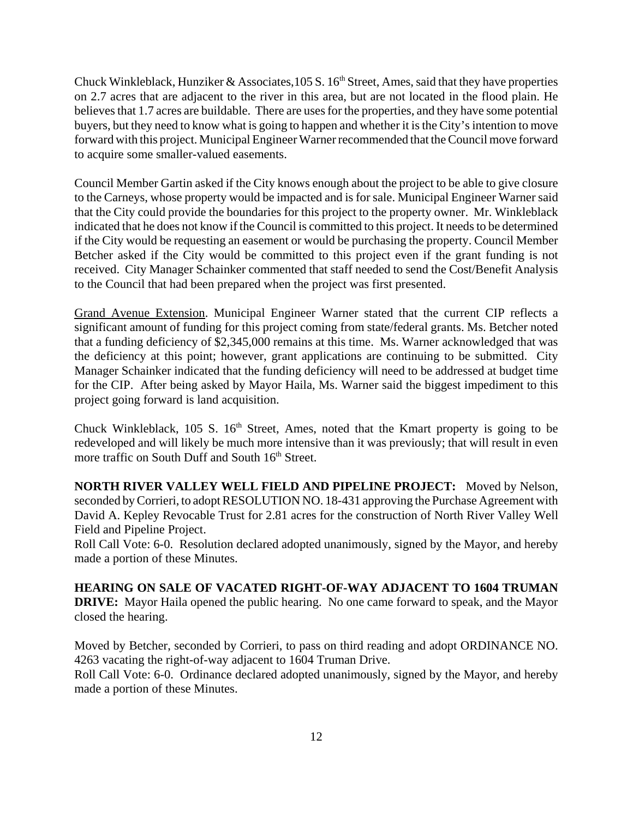Chuck Winkleblack, Hunziker & Associates, 105 S.  $16<sup>th</sup>$  Street, Ames, said that they have properties on 2.7 acres that are adjacent to the river in this area, but are not located in the flood plain. He believes that 1.7 acres are buildable. There are uses for the properties, and they have some potential buyers, but they need to know what is going to happen and whether it is the City's intention to move forward with this project. Municipal Engineer Warner recommended that the Council move forward to acquire some smaller-valued easements.

Council Member Gartin asked if the City knows enough about the project to be able to give closure to the Carneys, whose property would be impacted and is for sale. Municipal Engineer Warner said that the City could provide the boundaries for this project to the property owner. Mr. Winkleblack indicated that he does not know if the Council is committed to this project. It needs to be determined if the City would be requesting an easement or would be purchasing the property. Council Member Betcher asked if the City would be committed to this project even if the grant funding is not received. City Manager Schainker commented that staff needed to send the Cost/Benefit Analysis to the Council that had been prepared when the project was first presented.

Grand Avenue Extension. Municipal Engineer Warner stated that the current CIP reflects a significant amount of funding for this project coming from state/federal grants. Ms. Betcher noted that a funding deficiency of \$2,345,000 remains at this time. Ms. Warner acknowledged that was the deficiency at this point; however, grant applications are continuing to be submitted. City Manager Schainker indicated that the funding deficiency will need to be addressed at budget time for the CIP. After being asked by Mayor Haila, Ms. Warner said the biggest impediment to this project going forward is land acquisition.

Chuck Winkleblack, 105 S.  $16<sup>th</sup>$  Street, Ames, noted that the Kmart property is going to be redeveloped and will likely be much more intensive than it was previously; that will result in even more traffic on South Duff and South 16<sup>th</sup> Street.

**NORTH RIVER VALLEY WELL FIELD AND PIPELINE PROJECT:** Moved by Nelson, seconded by Corrieri, to adopt RESOLUTION NO. 18-431 approving the Purchase Agreement with David A. Kepley Revocable Trust for 2.81 acres for the construction of North River Valley Well Field and Pipeline Project.

Roll Call Vote: 6-0. Resolution declared adopted unanimously, signed by the Mayor, and hereby made a portion of these Minutes.

# **HEARING ON SALE OF VACATED RIGHT-OF-WAY ADJACENT TO 1604 TRUMAN DRIVE:** Mayor Haila opened the public hearing. No one came forward to speak, and the Mayor

closed the hearing.

Moved by Betcher, seconded by Corrieri, to pass on third reading and adopt ORDINANCE NO. 4263 vacating the right-of-way adjacent to 1604 Truman Drive.

Roll Call Vote: 6-0. Ordinance declared adopted unanimously, signed by the Mayor, and hereby made a portion of these Minutes.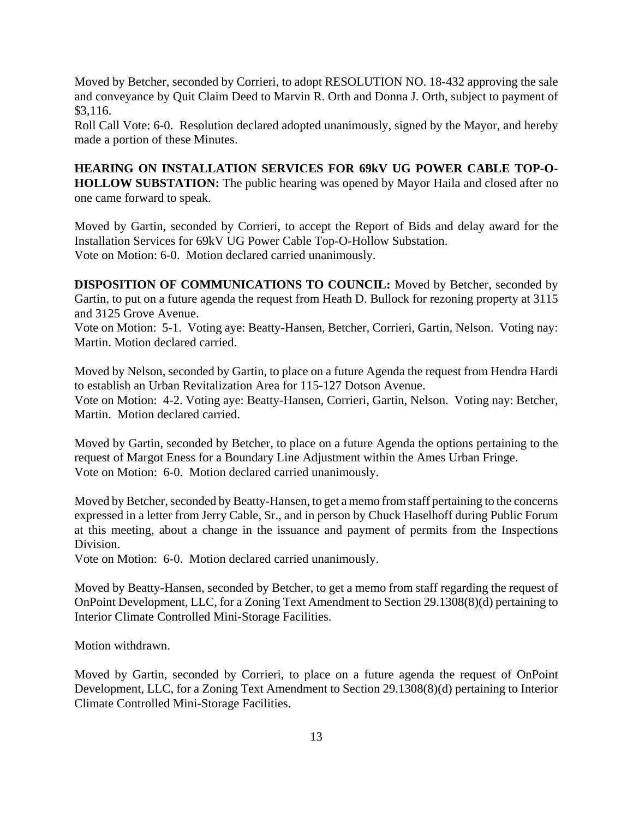Moved by Betcher, seconded by Corrieri, to adopt RESOLUTION NO. 18-432 approving the sale and conveyance by Quit Claim Deed to Marvin R. Orth and Donna J. Orth, subject to payment of \$3,116.

Roll Call Vote: 6-0. Resolution declared adopted unanimously, signed by the Mayor, and hereby made a portion of these Minutes.

**HEARING ON INSTALLATION SERVICES FOR 69kV UG POWER CABLE TOP-O-HOLLOW SUBSTATION:** The public hearing was opened by Mayor Haila and closed after no one came forward to speak.

Moved by Gartin, seconded by Corrieri, to accept the Report of Bids and delay award for the Installation Services for 69kV UG Power Cable Top-O-Hollow Substation. Vote on Motion: 6-0. Motion declared carried unanimously.

**DISPOSITION OF COMMUNICATIONS TO COUNCIL:** Moved by Betcher, seconded by Gartin, to put on a future agenda the request from Heath D. Bullock for rezoning property at 3115 and 3125 Grove Avenue.

Vote on Motion: 5-1. Voting aye: Beatty-Hansen, Betcher, Corrieri, Gartin, Nelson. Voting nay: Martin. Motion declared carried.

Moved by Nelson, seconded by Gartin, to place on a future Agenda the request from Hendra Hardi to establish an Urban Revitalization Area for 115-127 Dotson Avenue.

Vote on Motion: 4-2. Voting aye: Beatty-Hansen, Corrieri, Gartin, Nelson. Voting nay: Betcher, Martin. Motion declared carried.

Moved by Gartin, seconded by Betcher, to place on a future Agenda the options pertaining to the request of Margot Eness for a Boundary Line Adjustment within the Ames Urban Fringe. Vote on Motion: 6-0. Motion declared carried unanimously.

Moved by Betcher, seconded by Beatty-Hansen, to get a memo from staff pertaining to the concerns expressed in a letter from Jerry Cable, Sr., and in person by Chuck Haselhoff during Public Forum at this meeting, about a change in the issuance and payment of permits from the Inspections Division.

Vote on Motion: 6-0. Motion declared carried unanimously.

Moved by Beatty-Hansen, seconded by Betcher, to get a memo from staff regarding the request of OnPoint Development, LLC, for a Zoning Text Amendment to Section 29.1308(8)(d) pertaining to Interior Climate Controlled Mini-Storage Facilities.

Motion withdrawn.

Moved by Gartin, seconded by Corrieri, to place on a future agenda the request of OnPoint Development, LLC, for a Zoning Text Amendment to Section 29.1308(8)(d) pertaining to Interior Climate Controlled Mini-Storage Facilities.